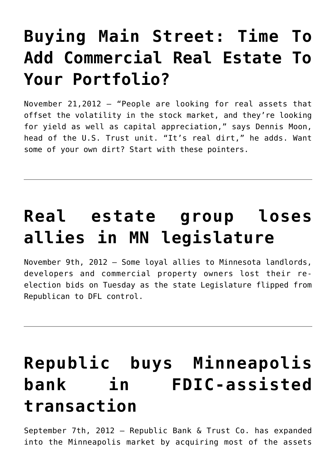## **[Buying Main Street: Time To](https://resultsrealestateinc.com/in-buying-main-street/) [Add Commercial Real Estate To](https://resultsrealestateinc.com/in-buying-main-street/) [Your Portfolio?](https://resultsrealestateinc.com/in-buying-main-street/)**

November 21,2012 – "People are looking for real assets that offset the volatility in the stock market, and they're looking for yield as well as capital appreciation," says Dennis Moon, head of the U.S. Trust unit. "It's real dirt," he adds. Want some of your own dirt? Start with these pointers.

### **[Real estate group loses](https://resultsrealestateinc.com/in-real-estate-group/) [allies in MN legislature](https://resultsrealestateinc.com/in-real-estate-group/)**

November 9th, 2012 – Some loyal allies to Minnesota landlords, developers and commercial property owners lost their reelection bids on Tuesday as the state Legislature flipped from Republican to DFL control.

## **[Republic buys Minneapolis](https://resultsrealestateinc.com/in-republic-buys/) [bank in FDIC-assisted](https://resultsrealestateinc.com/in-republic-buys/) [transaction](https://resultsrealestateinc.com/in-republic-buys/)**

September 7th, 2012 – Republic Bank & Trust Co. has expanded into the Minneapolis market by acquiring most of the assets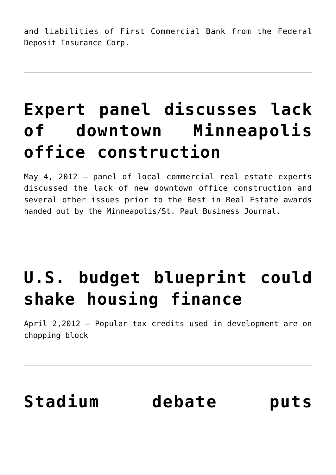and liabilities of First Commercial Bank from the Federal Deposit Insurance Corp.

### **[Expert panel discusses lack](https://resultsrealestateinc.com/in-expert-panel/) [of downtown Minneapolis](https://resultsrealestateinc.com/in-expert-panel/) [office construction](https://resultsrealestateinc.com/in-expert-panel/)**

May 4, 2012 – panel of local commercial real estate experts discussed the lack of new downtown office construction and several other issues prior to the Best in Real Estate awards handed out by the Minneapolis/St. Paul Business Journal.

# **[U.S. budget blueprint could](https://resultsrealestateinc.com/in-us-budget/) [shake housing finance](https://resultsrealestateinc.com/in-us-budget/)**

April 2,2012 – Popular tax credits used in development are on chopping block

# **[Stadium debate puts](https://resultsrealestateinc.com/in-stadium-debate/)**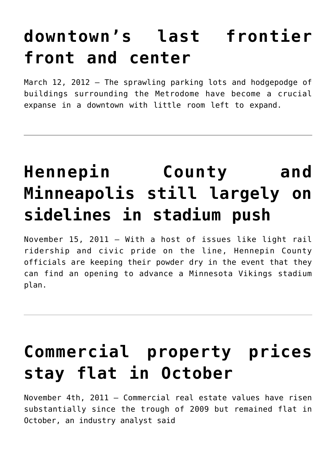### **[downtown's last frontier](https://resultsrealestateinc.com/in-stadium-debate/) [front and center](https://resultsrealestateinc.com/in-stadium-debate/)**

March 12, 2012 – The sprawling parking lots and hodgepodge of buildings surrounding the Metrodome have become a crucial expanse in a downtown with little room left to expand.

## **[Hennepin County and](https://resultsrealestateinc.com/in-hennepin-county-and-minneapolis/) [Minneapolis still largely on](https://resultsrealestateinc.com/in-hennepin-county-and-minneapolis/) [sidelines in stadium push](https://resultsrealestateinc.com/in-hennepin-county-and-minneapolis/)**

November 15, 2011 – With a host of issues like light rail ridership and civic pride on the line, Hennepin County officials are keeping their powder dry in the event that they can find an opening to advance a Minnesota Vikings stadium plan.

## **[Commercial property prices](https://resultsrealestateinc.com/in-commercial-property-prices/) [stay flat in October](https://resultsrealestateinc.com/in-commercial-property-prices/)**

November 4th, 2011 – Commercial real estate values have risen substantially since the trough of 2009 but remained flat in October, an industry analyst said